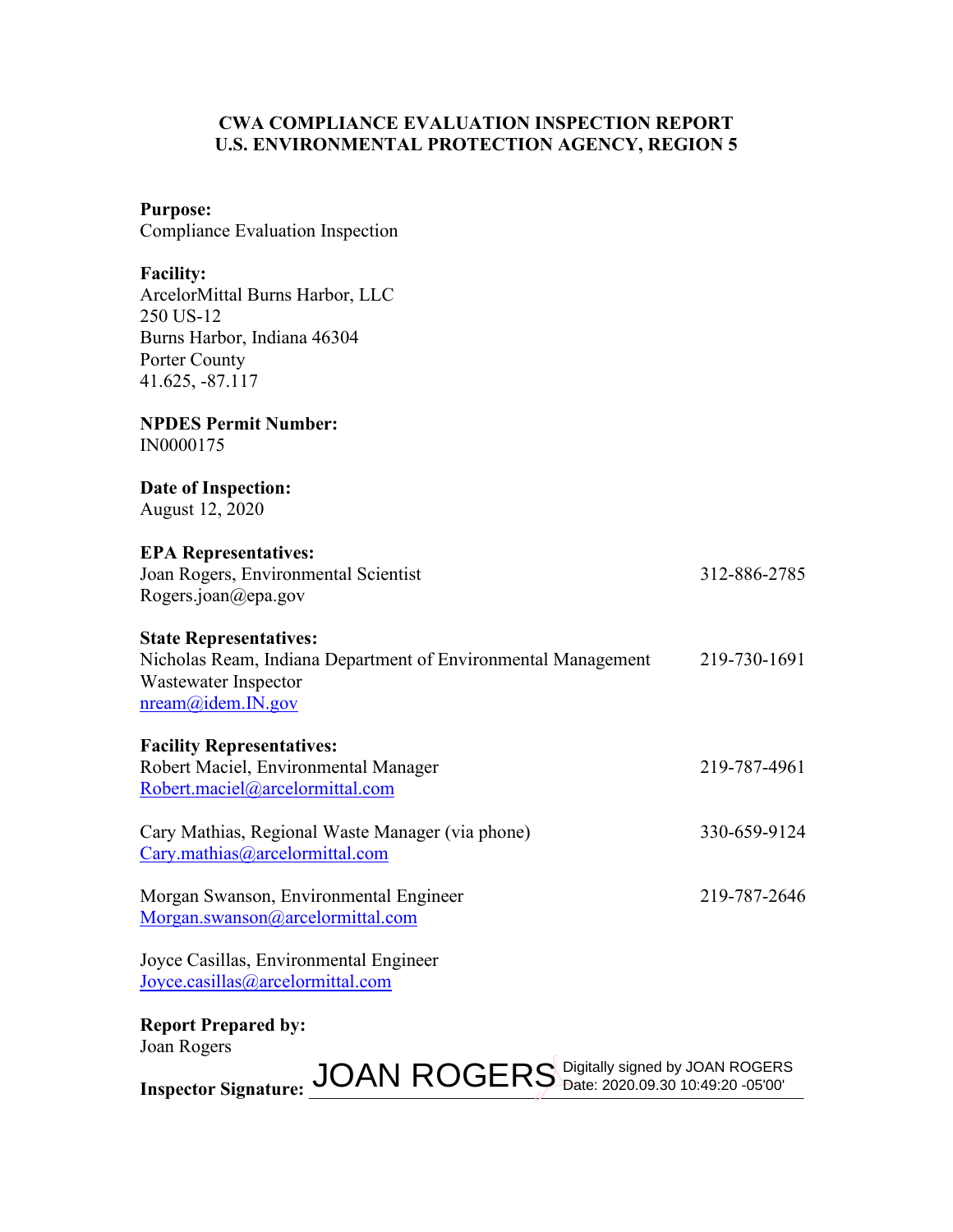### **CWA COMPLIANCE EVALUATION INSPECTION REPORT U.S. ENVIRONMENTAL PROTECTION AGENCY, REGION 5**

#### **Purpose:**

Compliance Evaluation Inspection

**Facility:**

| ArcelorMittal Burns Harbor, LLC |
|---------------------------------|
| 250 US-12                       |
| Burns Harbor, Indiana 46304     |
| Porter County                   |
| 41.625, -87.117                 |

#### **NPDES Permit Number:** IN0000175

#### **Date of Inspection:** August 12, 2020

# **EPA Representatives:**

| Joan Rogers, Environmental Scientist |  |
|--------------------------------------|--|
| Rogers.joan@epa.gov                  |  |

## **State Representatives:**

Nicholas Ream, Indiana Department of Environmental Management 219-730-1691 Wastewater Inspector [nream@idem.IN.gov](mailto:nream@idem.IN.gov)

312-886-2785

#### **Facility Representatives:**

Robert Maciel, Environmental Manager 219-787-4961 [Robert.maciel@arcelormittal.com](mailto:Robert.maciel@arcelormittal.com)

Cary Mathias, Regional Waste Manager (via phone) 330-659-9124 [Cary.mathias@arcelormittal.com](mailto:Cary.mathias@arcelormittal.com)

Morgan Swanson, Environmental Engineer 219-787-2646 [Morgan.swanson@arcelormittal.com](mailto:Morgan.swanson@arcelormittal.com)

Joyce Casillas, Environmental Engineer [Joyce.casillas@arcelormittal.com](mailto:Joyce.casillas@arcelormittal.com)

#### **Report Prepared by:** Joan Rogers

 $\text{Inspector Signature: } \text{JOAN ROGERS}_{\text{Date: } 2020.09.30}$  10:49:20 -05'00'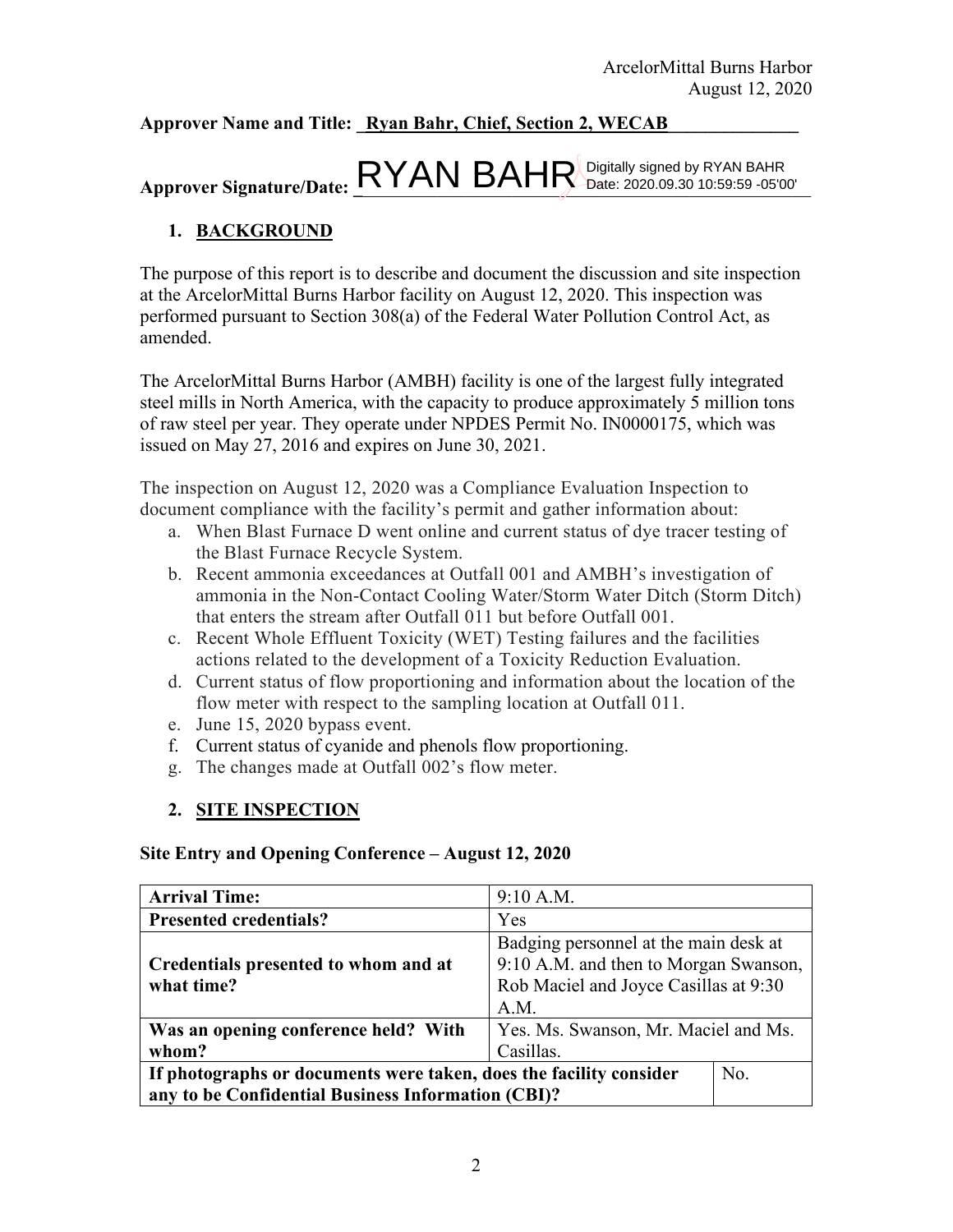## Approver Name and Title: Ryan Bahr, Chief, Section 2, WECAB

# $\Delta$ pprover Signature/Date:  $\frac{RYAN}{BAHR}$  Digitally signed by RYAN BAHR  $\Delta$

# **1. BACKGROUND**

The purpose of this report is to describe and document the discussion and site inspection at the ArcelorMittal Burns Harbor facility on August 12, 2020. This inspection was performed pursuant to Section 308(a) of the Federal Water Pollution Control Act, as amended.

The ArcelorMittal Burns Harbor (AMBH) facility is one of the largest fully integrated steel mills in North America, with the capacity to produce approximately 5 million tons of raw steel per year. They operate under NPDES Permit No. IN0000175, which was issued on May 27, 2016 and expires on June 30, 2021.

The inspection on August 12, 2020 was a Compliance Evaluation Inspection to document compliance with the facility's permit and gather information about:

- a. When Blast Furnace D went online and current status of dye tracer testing of the Blast Furnace Recycle System.
- b. Recent ammonia exceedances at Outfall 001 and AMBH's investigation of ammonia in the Non-Contact Cooling Water/Storm Water Ditch (Storm Ditch) that enters the stream after Outfall 011 but before Outfall 001.
- c. Recent Whole Effluent Toxicity (WET) Testing failures and the facilities actions related to the development of a Toxicity Reduction Evaluation.
- d. Current status of flow proportioning and information about the location of the flow meter with respect to the sampling location at Outfall 011.
- e. June 15, 2020 bypass event.
- f. Current status of cyanide and phenols flow proportioning.
- g. The changes made at Outfall 002's flow meter.

## **2. SITE INSPECTION**

#### **Site Entry and Opening Conference – August 12, 2020**

| <b>Arrival Time:</b>                                                         | 9:10 A.M.                             |  |  |
|------------------------------------------------------------------------------|---------------------------------------|--|--|
| <b>Presented credentials?</b>                                                | Yes                                   |  |  |
|                                                                              | Badging personnel at the main desk at |  |  |
| Credentials presented to whom and at                                         | 9:10 A.M. and then to Morgan Swanson, |  |  |
| what time?                                                                   | Rob Maciel and Joyce Casillas at 9:30 |  |  |
|                                                                              | A.M.                                  |  |  |
| Was an opening conference held? With<br>Yes. Ms. Swanson, Mr. Maciel and Ms. |                                       |  |  |
| Casillas.<br>whom?                                                           |                                       |  |  |
| No.<br>If photographs or documents were taken, does the facility consider    |                                       |  |  |
| any to be Confidential Business Information (CBI)?                           |                                       |  |  |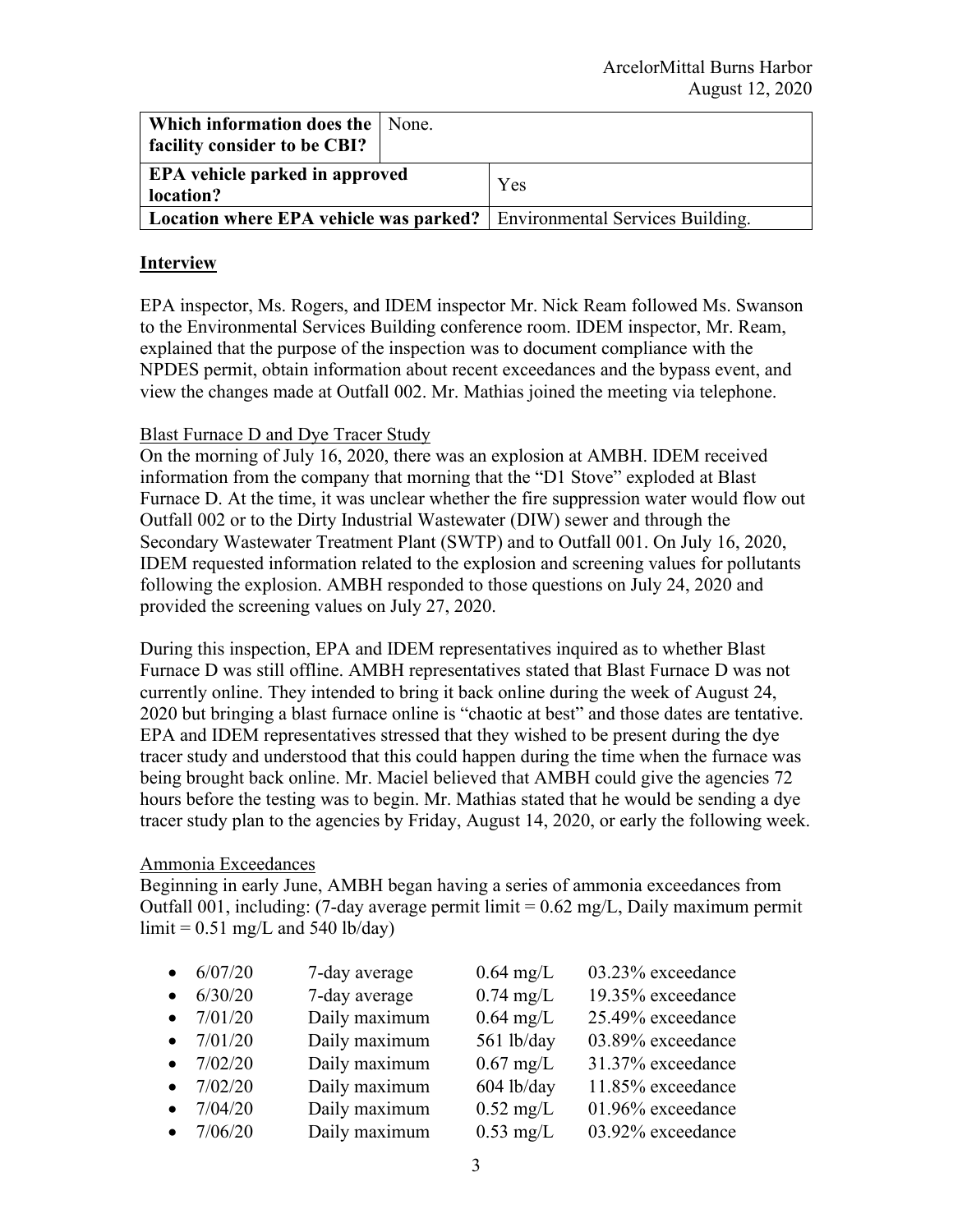| Which information does the   None.    |  |                                                                                |
|---------------------------------------|--|--------------------------------------------------------------------------------|
| <b>facility consider to be CBI?</b>   |  |                                                                                |
| <b>EPA</b> vehicle parked in approved |  | Yes                                                                            |
| location?                             |  |                                                                                |
|                                       |  | <b>Location where EPA vehicle was parked?</b> Environmental Services Building. |

#### **Interview**

EPA inspector, Ms. Rogers, and IDEM inspector Mr. Nick Ream followed Ms. Swanson to the Environmental Services Building conference room. IDEM inspector, Mr. Ream, explained that the purpose of the inspection was to document compliance with the NPDES permit, obtain information about recent exceedances and the bypass event, and view the changes made at Outfall 002. Mr. Mathias joined the meeting via telephone.

#### Blast Furnace D and Dye Tracer Study

On the morning of July 16, 2020, there was an explosion at AMBH. IDEM received information from the company that morning that the "D1 Stove" exploded at Blast Furnace D. At the time, it was unclear whether the fire suppression water would flow out Outfall 002 or to the Dirty Industrial Wastewater (DIW) sewer and through the Secondary Wastewater Treatment Plant (SWTP) and to Outfall 001. On July 16, 2020, IDEM requested information related to the explosion and screening values for pollutants following the explosion. AMBH responded to those questions on July 24, 2020 and provided the screening values on July 27, 2020.

During this inspection, EPA and IDEM representatives inquired as to whether Blast Furnace D was still offline. AMBH representatives stated that Blast Furnace D was not currently online. They intended to bring it back online during the week of August 24, 2020 but bringing a blast furnace online is "chaotic at best" and those dates are tentative. EPA and IDEM representatives stressed that they wished to be present during the dye tracer study and understood that this could happen during the time when the furnace was being brought back online. Mr. Maciel believed that AMBH could give the agencies 72 hours before the testing was to begin. Mr. Mathias stated that he would be sending a dye tracer study plan to the agencies by Friday, August 14, 2020, or early the following week.

#### Ammonia Exceedances

Beginning in early June, AMBH began having a series of ammonia exceedances from Outfall 001, including: (7-day average permit limit  $= 0.62$  mg/L, Daily maximum permit  $\text{limit} = 0.51 \text{ mg/L}$  and 540 lb/day)

| $\bullet$ 6/07/20 | 7-day average | $0.64$ mg/L         | 03.23% exceedance |
|-------------------|---------------|---------------------|-------------------|
| $\bullet$ 6/30/20 | 7-day average | $0.74$ mg/L         | 19.35% exceedance |
| • $7/01/20$       | Daily maximum | $0.64$ mg/L         | 25.49% exceedance |
| • $7/01/20$       | Daily maximum | 561 lb/day          | 03.89% exceedance |
| • $7/02/20$       | Daily maximum | $0.67$ mg/L         | 31.37% exceedance |
| • $7/02/20$       | Daily maximum | $604$ lb/day        | 11.85% exceedance |
| • $7/04/20$       | Daily maximum | $0.52 \text{ mg/L}$ | 01.96% exceedance |
| • $7/06/20$       | Daily maximum | $0.53$ mg/L         | 03.92% exceedance |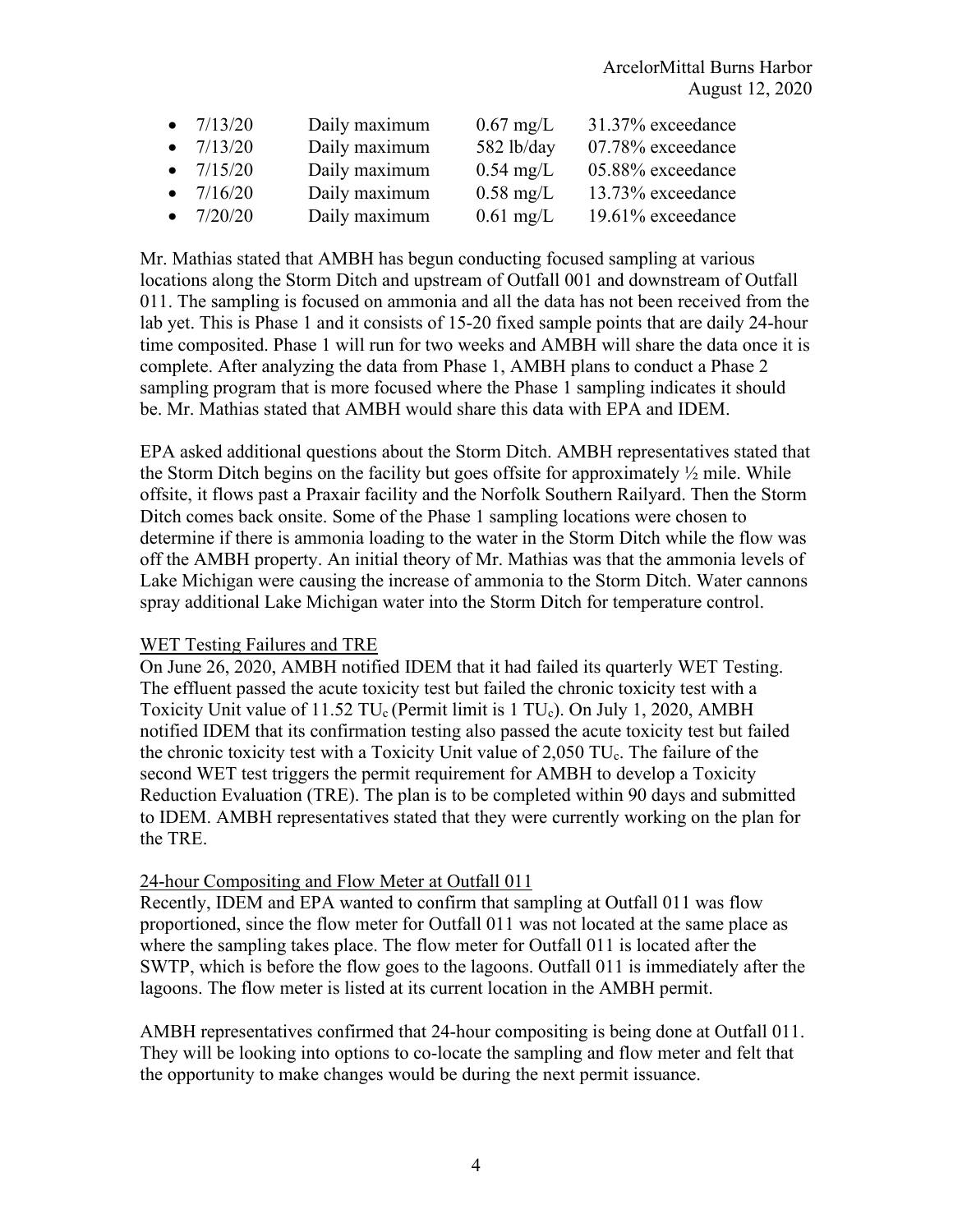| • $7/13/20$ | Daily maximum | $0.67 \text{ mg/L}$ | 31.37% exceedance |
|-------------|---------------|---------------------|-------------------|
| • $7/13/20$ | Daily maximum | 582 lb/day          | 07.78% exceedance |
| • $7/15/20$ | Daily maximum | $0.54$ mg/L         | 05.88% exceedance |
| • $7/16/20$ | Daily maximum | $0.58 \text{ mg/L}$ | 13.73% exceedance |
| • $7/20/20$ | Daily maximum | $0.61$ mg/L         | 19.61% exceedance |

Mr. Mathias stated that AMBH has begun conducting focused sampling at various locations along the Storm Ditch and upstream of Outfall 001 and downstream of Outfall 011. The sampling is focused on ammonia and all the data has not been received from the lab yet. This is Phase 1 and it consists of 15-20 fixed sample points that are daily 24-hour time composited. Phase 1 will run for two weeks and AMBH will share the data once it is complete. After analyzing the data from Phase 1, AMBH plans to conduct a Phase 2 sampling program that is more focused where the Phase 1 sampling indicates it should be. Mr. Mathias stated that AMBH would share this data with EPA and IDEM.

EPA asked additional questions about the Storm Ditch. AMBH representatives stated that the Storm Ditch begins on the facility but goes offsite for approximately  $\frac{1}{2}$  mile. While offsite, it flows past a Praxair facility and the Norfolk Southern Railyard. Then the Storm Ditch comes back onsite. Some of the Phase 1 sampling locations were chosen to determine if there is ammonia loading to the water in the Storm Ditch while the flow was off the AMBH property. An initial theory of Mr. Mathias was that the ammonia levels of Lake Michigan were causing the increase of ammonia to the Storm Ditch. Water cannons spray additional Lake Michigan water into the Storm Ditch for temperature control.

#### WET Testing Failures and TRE

On June 26, 2020, AMBH notified IDEM that it had failed its quarterly WET Testing. The effluent passed the acute toxicity test but failed the chronic toxicity test with a Toxicity Unit value of  $11.52 \text{ TU}_c$  (Permit limit is 1 TU<sub>c</sub>). On July 1, 2020, AMBH notified IDEM that its confirmation testing also passed the acute toxicity test but failed the chronic toxicity test with a Toxicity Unit value of  $2,050$  TU<sub>c</sub>. The failure of the second WET test triggers the permit requirement for AMBH to develop a Toxicity Reduction Evaluation (TRE). The plan is to be completed within 90 days and submitted to IDEM. AMBH representatives stated that they were currently working on the plan for the TRE.

#### 24-hour Compositing and Flow Meter at Outfall 011

Recently, IDEM and EPA wanted to confirm that sampling at Outfall 011 was flow proportioned, since the flow meter for Outfall 011 was not located at the same place as where the sampling takes place. The flow meter for Outfall 011 is located after the SWTP, which is before the flow goes to the lagoons. Outfall 011 is immediately after the lagoons. The flow meter is listed at its current location in the AMBH permit.

AMBH representatives confirmed that 24-hour compositing is being done at Outfall 011. They will be looking into options to co-locate the sampling and flow meter and felt that the opportunity to make changes would be during the next permit issuance.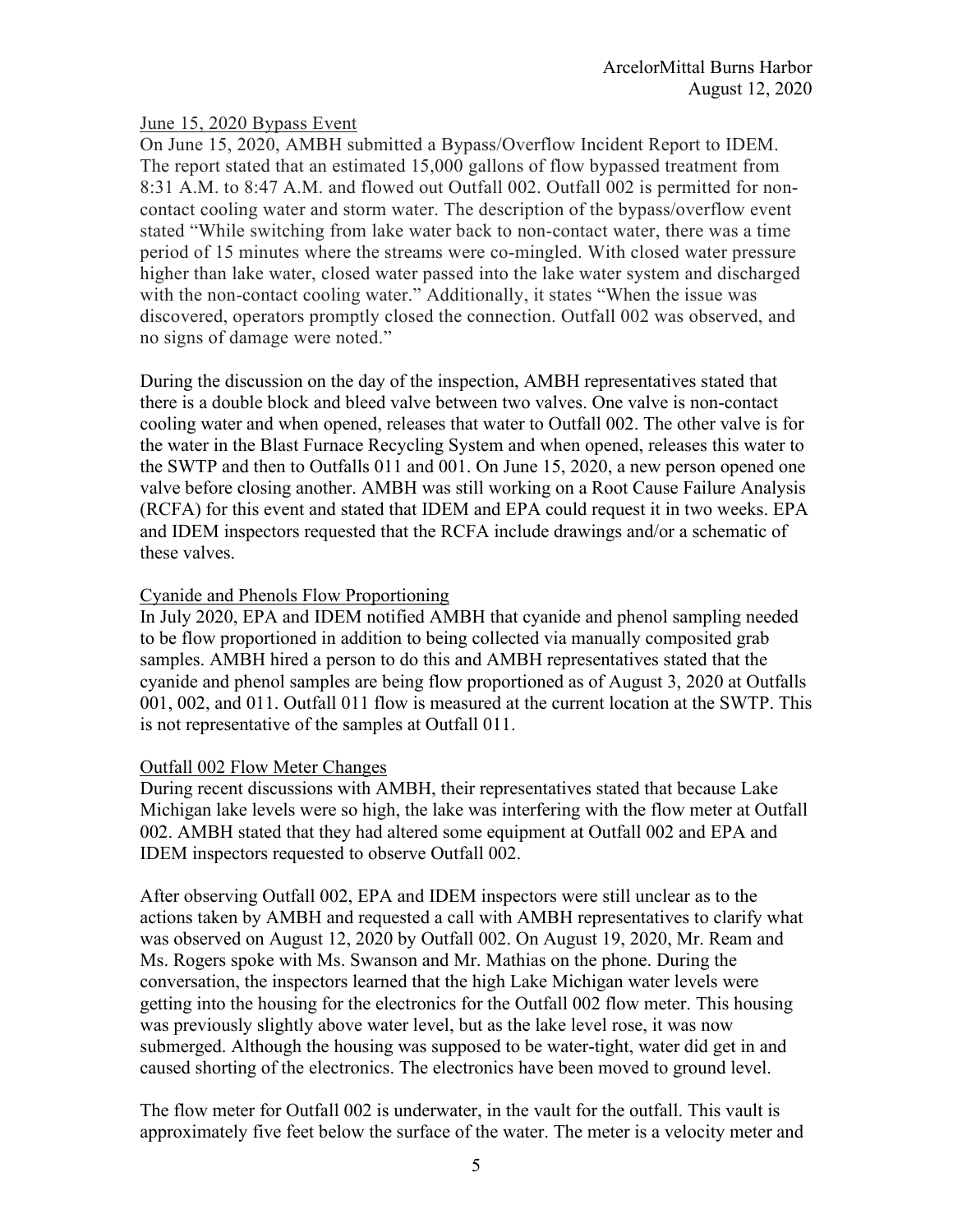#### June 15, 2020 Bypass Event

On June 15, 2020, AMBH submitted a Bypass/Overflow Incident Report to IDEM. The report stated that an estimated 15,000 gallons of flow bypassed treatment from 8:31 A.M. to 8:47 A.M. and flowed out Outfall 002. Outfall 002 is permitted for noncontact cooling water and storm water. The description of the bypass/overflow event stated "While switching from lake water back to non-contact water, there was a time period of 15 minutes where the streams were co-mingled. With closed water pressure higher than lake water, closed water passed into the lake water system and discharged with the non-contact cooling water." Additionally, it states "When the issue was discovered, operators promptly closed the connection. Outfall 002 was observed, and no signs of damage were noted."

During the discussion on the day of the inspection, AMBH representatives stated that there is a double block and bleed valve between two valves. One valve is non-contact cooling water and when opened, releases that water to Outfall 002. The other valve is for the water in the Blast Furnace Recycling System and when opened, releases this water to the SWTP and then to Outfalls 011 and 001. On June 15, 2020, a new person opened one valve before closing another. AMBH was still working on a Root Cause Failure Analysis (RCFA) for this event and stated that IDEM and EPA could request it in two weeks. EPA and IDEM inspectors requested that the RCFA include drawings and/or a schematic of these valves.

#### Cyanide and Phenols Flow Proportioning

In July 2020, EPA and IDEM notified AMBH that cyanide and phenol sampling needed to be flow proportioned in addition to being collected via manually composited grab samples. AMBH hired a person to do this and AMBH representatives stated that the cyanide and phenol samples are being flow proportioned as of August 3, 2020 at Outfalls 001, 002, and 011. Outfall 011 flow is measured at the current location at the SWTP. This is not representative of the samples at Outfall 011.

#### Outfall 002 Flow Meter Changes

During recent discussions with AMBH, their representatives stated that because Lake Michigan lake levels were so high, the lake was interfering with the flow meter at Outfall 002. AMBH stated that they had altered some equipment at Outfall 002 and EPA and IDEM inspectors requested to observe Outfall 002.

After observing Outfall 002, EPA and IDEM inspectors were still unclear as to the actions taken by AMBH and requested a call with AMBH representatives to clarify what was observed on August 12, 2020 by Outfall 002. On August 19, 2020, Mr. Ream and Ms. Rogers spoke with Ms. Swanson and Mr. Mathias on the phone. During the conversation, the inspectors learned that the high Lake Michigan water levels were getting into the housing for the electronics for the Outfall 002 flow meter. This housing was previously slightly above water level, but as the lake level rose, it was now submerged. Although the housing was supposed to be water-tight, water did get in and caused shorting of the electronics. The electronics have been moved to ground level.

The flow meter for Outfall 002 is underwater, in the vault for the outfall. This vault is approximately five feet below the surface of the water. The meter is a velocity meter and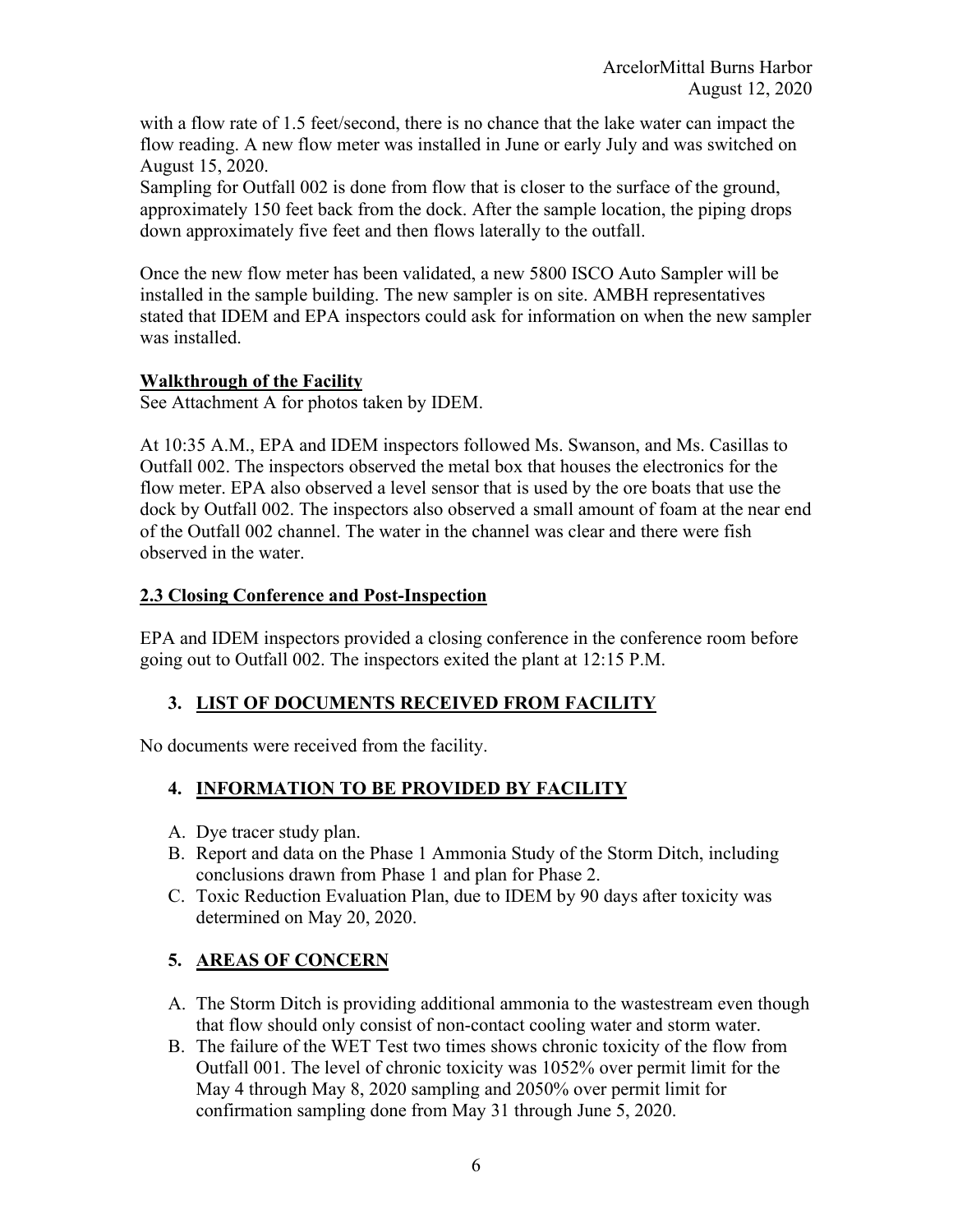with a flow rate of 1.5 feet/second, there is no chance that the lake water can impact the flow reading. A new flow meter was installed in June or early July and was switched on August 15, 2020.

Sampling for Outfall 002 is done from flow that is closer to the surface of the ground, approximately 150 feet back from the dock. After the sample location, the piping drops down approximately five feet and then flows laterally to the outfall.

Once the new flow meter has been validated, a new 5800 ISCO Auto Sampler will be installed in the sample building. The new sampler is on site. AMBH representatives stated that IDEM and EPA inspectors could ask for information on when the new sampler was installed.

## **Walkthrough of the Facility**

See Attachment A for photos taken by IDEM.

At 10:35 A.M., EPA and IDEM inspectors followed Ms. Swanson, and Ms. Casillas to Outfall 002. The inspectors observed the metal box that houses the electronics for the flow meter. EPA also observed a level sensor that is used by the ore boats that use the dock by Outfall 002. The inspectors also observed a small amount of foam at the near end of the Outfall 002 channel. The water in the channel was clear and there were fish observed in the water.

## **2.3 Closing Conference and Post-Inspection**

EPA and IDEM inspectors provided a closing conference in the conference room before going out to Outfall 002. The inspectors exited the plant at 12:15 P.M.

## **3. LIST OF DOCUMENTS RECEIVED FROM FACILITY**

No documents were received from the facility.

## **4. INFORMATION TO BE PROVIDED BY FACILITY**

- A. Dye tracer study plan.
- B. Report and data on the Phase 1 Ammonia Study of the Storm Ditch, including conclusions drawn from Phase 1 and plan for Phase 2.
- C. Toxic Reduction Evaluation Plan, due to IDEM by 90 days after toxicity was determined on May 20, 2020.

## **5. AREAS OF CONCERN**

- A. The Storm Ditch is providing additional ammonia to the wastestream even though that flow should only consist of non-contact cooling water and storm water.
- B. The failure of the WET Test two times shows chronic toxicity of the flow from Outfall 001. The level of chronic toxicity was 1052% over permit limit for the May 4 through May 8, 2020 sampling and 2050% over permit limit for confirmation sampling done from May 31 through June 5, 2020.